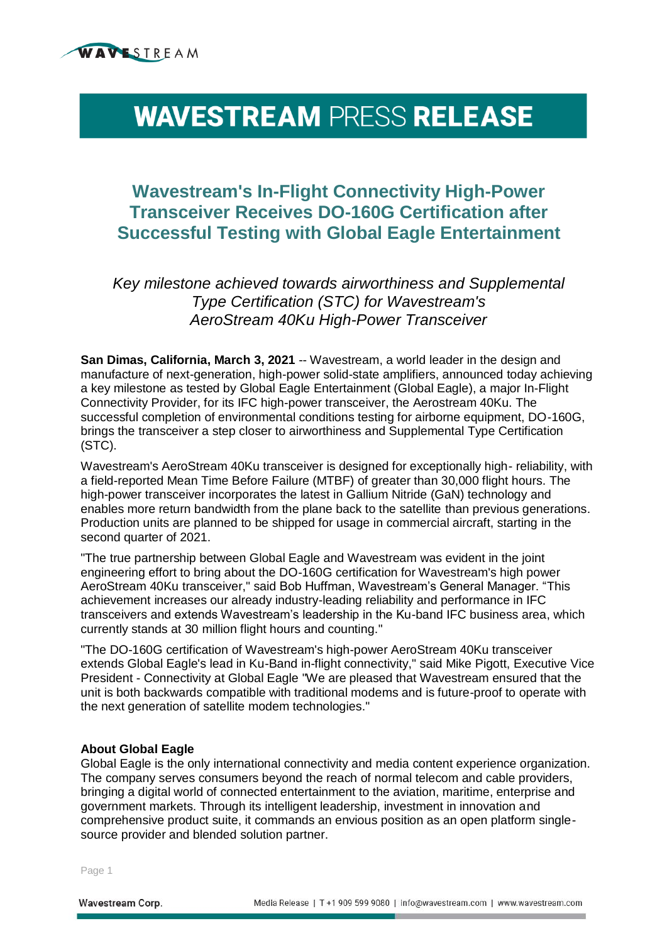# **WAVESTREAM PRESS RELEASE**

# **Wavestream's In-Flight Connectivity High-Power Transceiver Receives DO-160G Certification after Successful Testing with Global Eagle Entertainment**

*Key milestone achieved towards airworthiness and Supplemental Type Certification (STC) for Wavestream's AeroStream 40Ku High-Power Transceiver*

**San Dimas, California, March 3, 2021** -- Wavestream, a world leader in the design and manufacture of next-generation, high-power solid-state amplifiers, announced today achieving a key milestone as tested by Global Eagle Entertainment (Global Eagle), a major In-Flight Connectivity Provider, for its IFC high-power transceiver, the Aerostream 40Ku. The successful completion of environmental conditions testing for airborne equipment, DO-160G, brings the transceiver a step closer to airworthiness and Supplemental Type Certification (STC).

Wavestream's AeroStream 40Ku transceiver is designed for exceptionally high- reliability, with a field-reported Mean Time Before Failure (MTBF) of greater than 30,000 flight hours. The high-power transceiver incorporates the latest in Gallium Nitride (GaN) technology and enables more return bandwidth from the plane back to the satellite than previous generations. Production units are planned to be shipped for usage in commercial aircraft, starting in the second quarter of 2021.

"The true partnership between Global Eagle and Wavestream was evident in the joint engineering effort to bring about the DO-160G certification for Wavestream's high power AeroStream 40Ku transceiver," said Bob Huffman, Wavestream's General Manager. "This achievement increases our already industry-leading reliability and performance in IFC transceivers and extends Wavestream's leadership in the Ku-band IFC business area, which currently stands at 30 million flight hours and counting."

"The DO-160G certification of Wavestream's high-power AeroStream 40Ku transceiver extends Global Eagle's lead in Ku-Band in-flight connectivity," said Mike Pigott, Executive Vice President - Connectivity at Global Eagle "We are pleased that Wavestream ensured that the unit is both backwards compatible with traditional modems and is future-proof to operate with the next generation of satellite modem technologies."

## **About Global Eagle**

Global Eagle is the only international connectivity and media content experience organization. The company serves consumers beyond the reach of normal telecom and cable providers, bringing a digital world of connected entertainment to the aviation, maritime, enterprise and government markets. Through its intelligent leadership, investment in innovation and comprehensive product suite, it commands an envious position as an open platform singlesource provider and blended solution partner.

Page 1

Wavestream Corp.